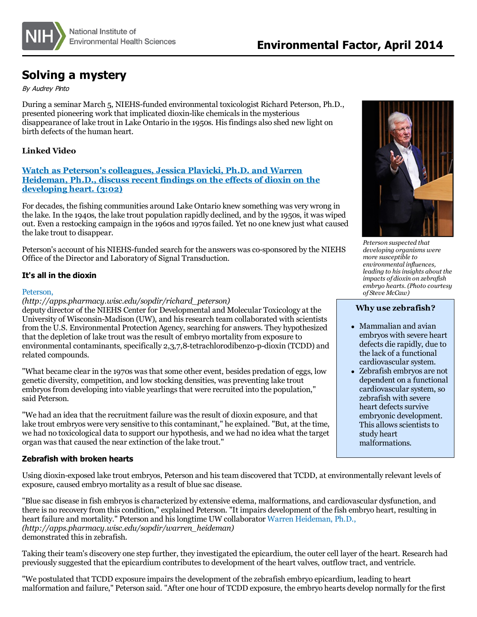

# **Solving a mystery**

By Audrey Pinto

During a seminar March 5, NIEHS-funded environmental toxicologist Richard Peterson, Ph.D., presented pioneering work that implicated dioxin-like chemicalsin the mysterious disappearance of lake trout in Lake Ontario in the 1950s. Hisfindings also shed new light on birth defects of the human heart.

## **Linked Video**

## **Watch as Peterson's [colleagues,](http://www.seagrant.wisc.edu/home/default.aspx?tabid=575&VideoID=104) Jessica Plavicki, Ph.D. and Warren Heideman, Ph.D., discuss recent findings on the effects of dioxin on the developing heart. (3:02)**

For decades, the fishing communities around Lake Ontario knew something was very wrong in the lake. In the 1940s, the lake trout population rapidly declined, and by the 1950s, it was wiped out. Even a restocking campaign in the 1960s and 1970sfailed. Yet no one knew just what caused the lake trout to disappear.

Peterson's account of his NIEHS-funded search for the answers wasco-sponsored by the NIEHS Office of the Director and Laboratory of Signal Transduction.

## **It's all in the dioxin**

#### [Peterson,](http://apps.pharmacy.wisc.edu/sopdir/richard_peterson)

*(http://apps.pharmacy.wisc.edu/sopdir/richard\_peterson)*

deputy director of the NIEHS Center for Developmental and Molecular Toxicology at the University of Wisconsin-Madison (UW), and hisresearch team collaborated with scientists from the U.S. Environmental Protection Agency, searching for answers. They hypothesized that the depletion of lake trout wasthe result of embryo mortality from exposure to environmental contaminants, specifically 2,3,7,8-tetrachlorodibenzo-p-dioxin (TCDD) and related compounds.

"What became clear in the 1970s wasthat some other event, besides predation of eggs, low genetic diversity, competition, and low stocking densities, was preventing lake trout embryos from developing into viable yearlings that were recruited into the population," said Peterson.

"We had an idea that the recruitment failure was the result of dioxin exposure, and that lake trout embryos were very sensitive to this contaminant," he explained. "But, at the time, we had no toxicological data to support our hypothesis, and we had no idea what the target organ wasthat caused the near extinction of the lake trout."

## **Zebrafish with broken hearts**

Using dioxin-exposed lake trout embryos, Peterson and histeam discovered that TCDD, at environmentally relevant levels of exposure, caused embryo mortality as a result of blue sac disease.

"Blue sac disease in fish embryos is characterized by extensive edema, malformations, and cardiovascular dysfunction, and there is no recovery from this condition," explained Peterson. "It impairs development of the fish embryo heart, resulting in heart failure and mortality." Peterson and hislongtime UW collaborator Warren [Heideman,](http://apps.pharmacy.wisc.edu/sopdir/warren_heideman) Ph.D., *(http://apps.pharmacy.wisc.edu/sopdir/warren\_heideman)* demonstrated this in zebrafish.

Taking their team's discovery one step further, they investigated the epicardium, the outercell layer of the heart. Research had previously suggested that the epicardium contributesto development of the heart valves, outflow tract, and ventricle.

"We postulated that TCDD exposure impairs the development of the zebrafish embryo epicardium, leading to heart malformation and failure," Peterson said. "After one hour of TCDD exposure, the embryo hearts develop normally for the first



*Peterson suspected that developing organisms were more susceptible to environmental influences, leading to hisinsights about the impacts of dioxin on zebrafish embryo hearts. (Photo courtesy of Steve McCaw)*

### **Why use zebrafish?**

- Mammalian and avian embryos with severe heart defects die rapidly, due to the lack of a functional cardiovascular system.
- Zebrafish embryos are not dependent on a functional cardiovascular system, so zebrafish with severe heart defects survive embryonic development. This allows scientists to study heart malformations.